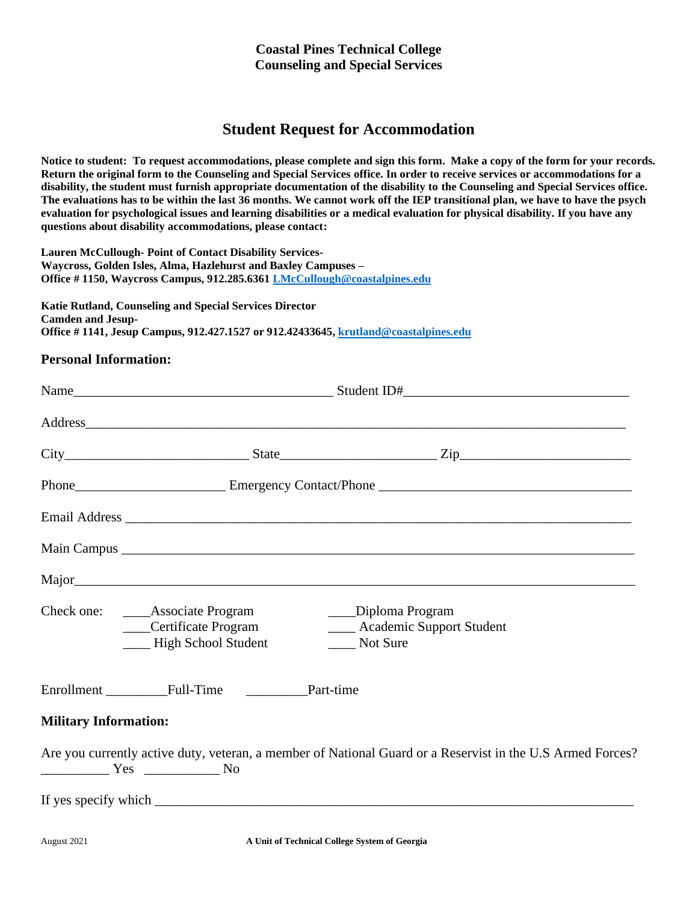# **Student Request for Accommodation**

**Notice to student: To request accommodations, please complete and sign this form. Make a copy of the form for your records. Return the original form to the Counseling and Special Services office. In order to receive services or accommodations for a disability, the student must furnish appropriate documentation of the disability to the Counseling and Special Services office. The evaluations has to be within the last 36 months. We cannot work off the IEP transitional plan, we have to have the psych evaluation for psychological issues and learning disabilities or a medical evaluation for physical disability. If you have any questions about disability accommodations, please contact:**

**Lauren McCullough- Point of Contact Disability Services-Waycross, Golden Isles, Alma, Hazlehurst and Baxley Campuses – Office # 1150, Waycross Campus, 912.285.6361 [LMcCullough@coastalpines.edu](mailto:LMcCullough@coastalpines.edu)**

**Katie Rutland, Counseling and Special Services Director Camden and Jesup-Office # 1141, Jesup Campus, 912.427.1527 or 912.42433645[, krutland@coastalpines.edu](mailto:krutland@coastalpines.edu)**

## **Personal Information:**

|                              |                                                                                     |                                                                 | Address and the contract of the contract of the contract of the contract of the contract of the contract of the contract of the contract of the contract of the contract of the contract of the contract of the contract of th |  |  |
|------------------------------|-------------------------------------------------------------------------------------|-----------------------------------------------------------------|--------------------------------------------------------------------------------------------------------------------------------------------------------------------------------------------------------------------------------|--|--|
|                              |                                                                                     |                                                                 |                                                                                                                                                                                                                                |  |  |
|                              |                                                                                     |                                                                 |                                                                                                                                                                                                                                |  |  |
|                              |                                                                                     |                                                                 |                                                                                                                                                                                                                                |  |  |
|                              |                                                                                     |                                                                 |                                                                                                                                                                                                                                |  |  |
|                              |                                                                                     |                                                                 |                                                                                                                                                                                                                                |  |  |
|                              | Check one: _______Associate Program<br>Certificate Program<br>- High School Student | ___Diploma Program<br>____ Academic Support Student<br>Not Sure |                                                                                                                                                                                                                                |  |  |
|                              |                                                                                     |                                                                 |                                                                                                                                                                                                                                |  |  |
| <b>Military Information:</b> |                                                                                     |                                                                 |                                                                                                                                                                                                                                |  |  |
|                              | $Yes$ No                                                                            |                                                                 | Are you currently active duty, veteran, a member of National Guard or a Reservist in the U.S Armed Forces?                                                                                                                     |  |  |
|                              |                                                                                     |                                                                 |                                                                                                                                                                                                                                |  |  |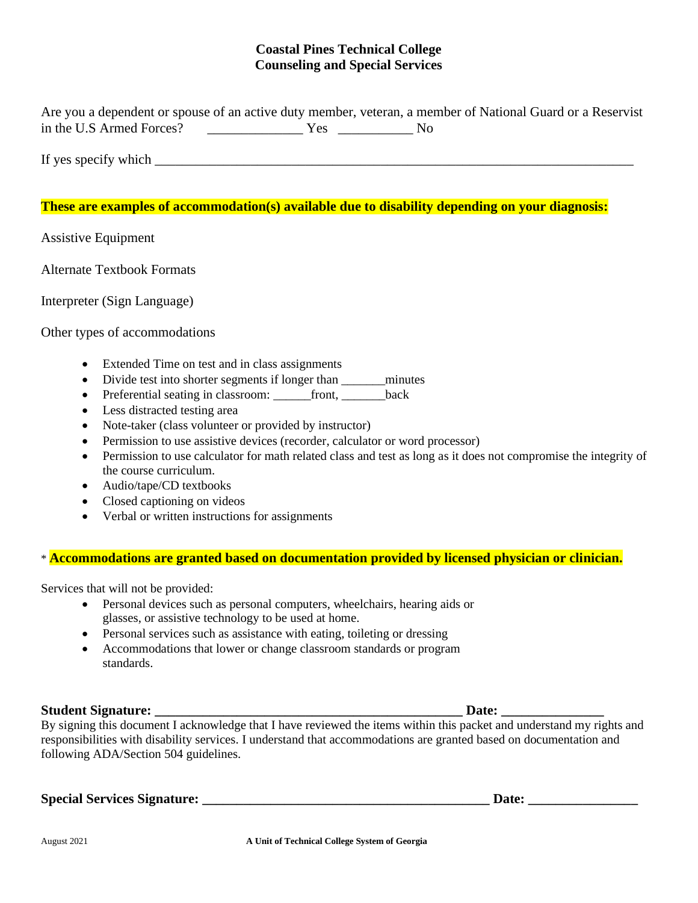Are you a dependent or spouse of an active duty member, veteran, a member of National Guard or a Reservist in the U.S Armed Forces? \_\_\_\_\_\_\_\_\_\_\_\_\_\_ Yes \_\_\_\_\_\_\_\_\_\_\_ No

If yes specify which  $\Box$ 

## **These are examples of accommodation(s) available due to disability depending on your diagnosis:**

Assistive Equipment

Alternate Textbook Formats

Interpreter (Sign Language)

#### Other types of accommodations

- Extended Time on test and in class assignments
- Divide test into shorter segments if longer than \_\_\_\_\_\_\_minutes
- Preferential seating in classroom: \_\_\_\_\_\_front, \_\_\_\_\_\_\_back
- Less distracted testing area
- Note-taker (class volunteer or provided by instructor)
- Permission to use assistive devices (recorder, calculator or word processor)
- Permission to use calculator for math related class and test as long as it does not compromise the integrity of the course curriculum.
- Audio/tape/CD textbooks
- Closed captioning on videos
- Verbal or written instructions for assignments

#### \* **Accommodations are granted based on documentation provided by licensed physician or clinician.**

Services that will not be provided:

- Personal devices such as personal computers, wheelchairs, hearing aids or glasses, or assistive technology to be used at home.
- Personal services such as assistance with eating, toileting or dressing
- Accommodations that lower or change classroom standards or program standards.

#### **Student Signature: \_\_\_\_\_\_\_\_\_\_\_\_\_\_\_\_\_\_\_\_\_\_\_\_\_\_\_\_\_\_\_\_\_\_\_\_\_\_\_\_\_\_\_\_\_ Date: \_\_\_\_\_\_\_\_\_\_\_\_\_\_\_**

By signing this document I acknowledge that I have reviewed the items within this packet and understand my rights and responsibilities with disability services. I understand that accommodations are granted based on documentation and following ADA/Section 504 guidelines.

**Special Services Signature: \_\_\_\_\_\_\_\_\_\_\_\_\_\_\_\_\_\_\_\_\_\_\_\_\_\_\_\_\_\_\_\_\_\_\_\_\_\_\_\_\_\_ Date: \_\_\_\_\_\_\_\_\_\_\_\_\_\_\_\_**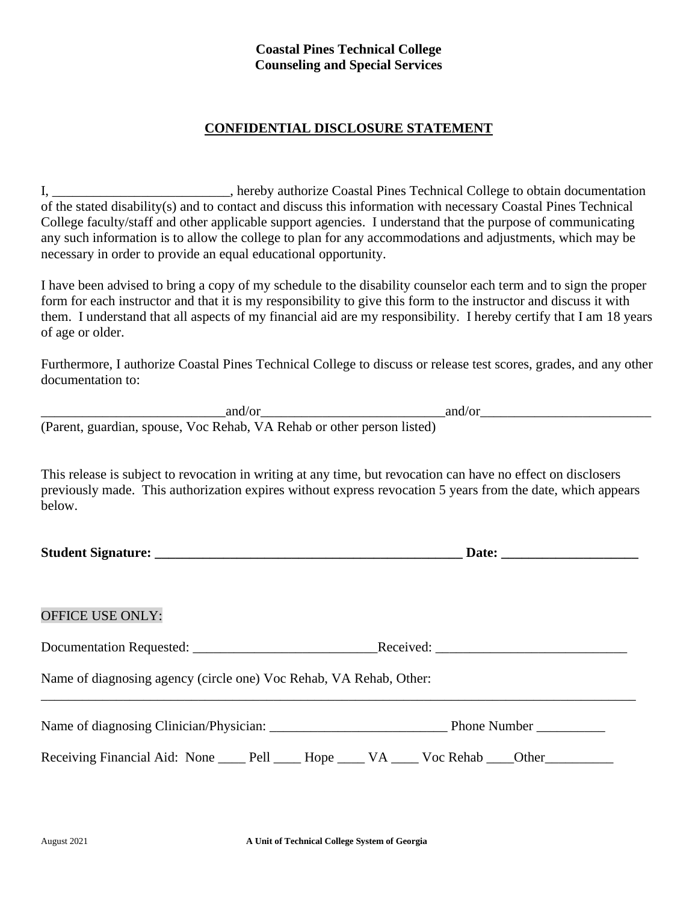# **CONFIDENTIAL DISCLOSURE STATEMENT**

I, \_\_\_\_\_\_\_\_\_\_\_\_\_\_\_\_\_\_\_\_\_\_\_\_\_\_, hereby authorize Coastal Pines Technical College to obtain documentation of the stated disability(s) and to contact and discuss this information with necessary Coastal Pines Technical College faculty/staff and other applicable support agencies. I understand that the purpose of communicating any such information is to allow the college to plan for any accommodations and adjustments, which may be necessary in order to provide an equal educational opportunity.

I have been advised to bring a copy of my schedule to the disability counselor each term and to sign the proper form for each instructor and that it is my responsibility to give this form to the instructor and discuss it with them. I understand that all aspects of my financial aid are my responsibility. I hereby certify that I am 18 years of age or older.

Furthermore, I authorize Coastal Pines Technical College to discuss or release test scores, grades, and any other documentation to:

|                                                                        | and/or | and/or |  |
|------------------------------------------------------------------------|--------|--------|--|
| (Parent, guardian, spouse, Voc Rehab, VA Rehab or other person listed) |        |        |  |

This release is subject to revocation in writing at any time, but revocation can have no effect on disclosers previously made. This authorization expires without express revocation 5 years from the date, which appears below.

| <b>OFFICE USE ONLY:</b>                                                                             |  |  |  |  |
|-----------------------------------------------------------------------------------------------------|--|--|--|--|
|                                                                                                     |  |  |  |  |
| Name of diagnosing agency (circle one) Voc Rehab, VA Rehab, Other:                                  |  |  |  |  |
|                                                                                                     |  |  |  |  |
| Receiving Financial Aid: None ______ Pell ______ Hope ______ VA _____ Voc Rehab ____Other__________ |  |  |  |  |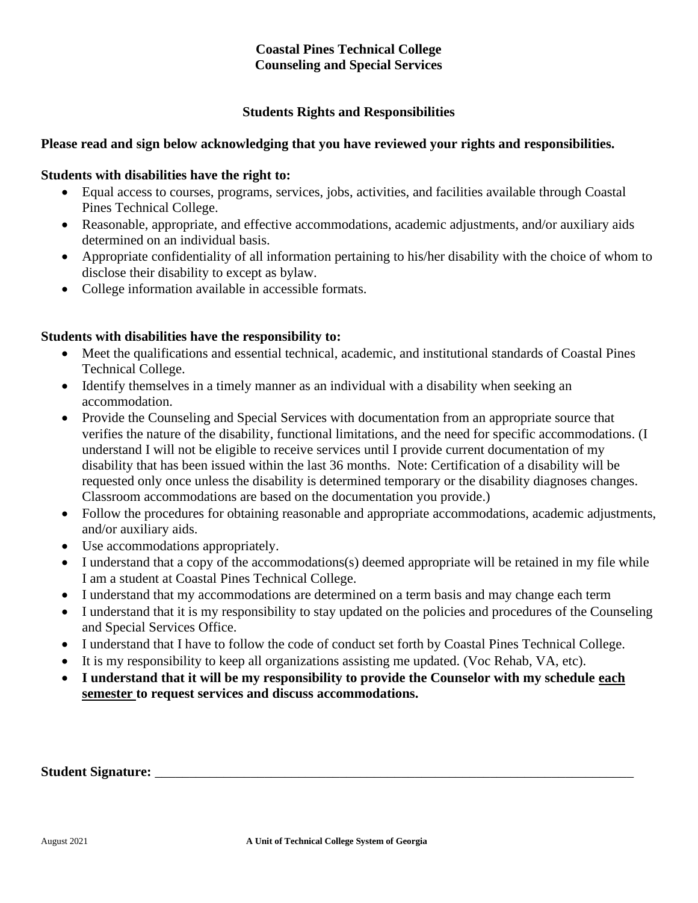# **Students Rights and Responsibilities**

# **Please read and sign below acknowledging that you have reviewed your rights and responsibilities.**

## **Students with disabilities have the right to:**

- Equal access to courses, programs, services, jobs, activities, and facilities available through Coastal Pines Technical College.
- Reasonable, appropriate, and effective accommodations, academic adjustments, and/or auxiliary aids determined on an individual basis.
- Appropriate confidentiality of all information pertaining to his/her disability with the choice of whom to disclose their disability to except as bylaw.
- College information available in accessible formats.

## **Students with disabilities have the responsibility to:**

- Meet the qualifications and essential technical, academic, and institutional standards of Coastal Pines Technical College.
- Identify themselves in a timely manner as an individual with a disability when seeking an accommodation.
- Provide the Counseling and Special Services with documentation from an appropriate source that verifies the nature of the disability, functional limitations, and the need for specific accommodations. (I understand I will not be eligible to receive services until I provide current documentation of my disability that has been issued within the last 36 months. Note: Certification of a disability will be requested only once unless the disability is determined temporary or the disability diagnoses changes. Classroom accommodations are based on the documentation you provide.)
- Follow the procedures for obtaining reasonable and appropriate accommodations, academic adjustments, and/or auxiliary aids.
- Use accommodations appropriately.
- I understand that a copy of the accommodations(s) deemed appropriate will be retained in my file while I am a student at Coastal Pines Technical College.
- I understand that my accommodations are determined on a term basis and may change each term
- I understand that it is my responsibility to stay updated on the policies and procedures of the Counseling and Special Services Office.
- I understand that I have to follow the code of conduct set forth by Coastal Pines Technical College.
- It is my responsibility to keep all organizations assisting me updated. (Voc Rehab, VA, etc).
- **I understand that it will be my responsibility to provide the Counselor with my schedule each semester to request services and discuss accommodations.**

Student Signature: